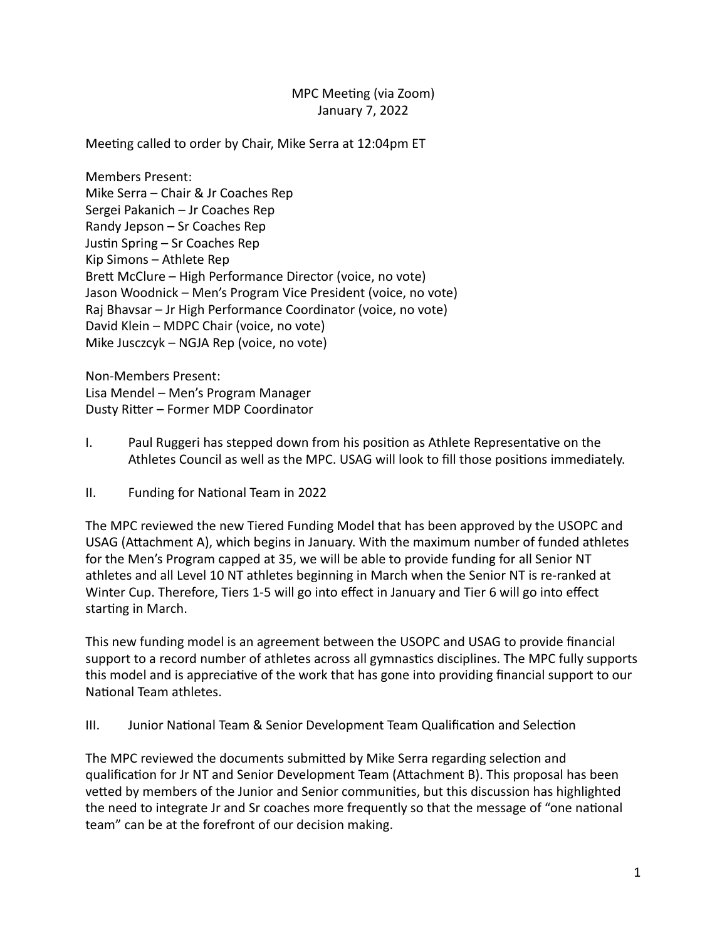### MPC Meeting (via Zoom) January 7, 2022

Meeting called to order by Chair, Mike Serra at 12:04pm ET

Members Present: Mike Serra - Chair & Jr Coaches Rep Sergei Pakanich - Jr Coaches Rep Randy Jepson  $-$  Sr Coaches Rep Justin Spring – Sr Coaches Rep Kip Simons – Athlete Rep Brett McClure – High Performance Director (voice, no vote) Jason Woodnick - Men's Program Vice President (voice, no vote) Raj Bhavsar – Jr High Performance Coordinator (voice, no vote) David Klein - MDPC Chair (voice, no vote) Mike Jusczcyk – NGJA Rep (voice, no vote)

Non-Members Present: Lisa Mendel – Men's Program Manager Dusty Ritter – Former MDP Coordinator

- I. Paul Ruggeri has stepped down from his position as Athlete Representative on the Athletes Council as well as the MPC. USAG will look to fill those positions immediately.
- II. Funding for National Team in 2022

The MPC reviewed the new Tiered Funding Model that has been approved by the USOPC and USAG (Attachment A), which begins in January. With the maximum number of funded athletes for the Men's Program capped at 35, we will be able to provide funding for all Senior NT athletes and all Level 10 NT athletes beginning in March when the Senior NT is re-ranked at Winter Cup. Therefore, Tiers 1-5 will go into effect in January and Tier 6 will go into effect starting in March.

This new funding model is an agreement between the USOPC and USAG to provide financial support to a record number of athletes across all gymnastics disciplines. The MPC fully supports this model and is appreciative of the work that has gone into providing financial support to our National Team athletes.

III. Junior National Team & Senior Development Team Qualification and Selection

The MPC reviewed the documents submitted by Mike Serra regarding selection and qualification for Jr NT and Senior Development Team (Attachment B). This proposal has been vetted by members of the Junior and Senior communities, but this discussion has highlighted the need to integrate Jr and Sr coaches more frequently so that the message of "one national team" can be at the forefront of our decision making.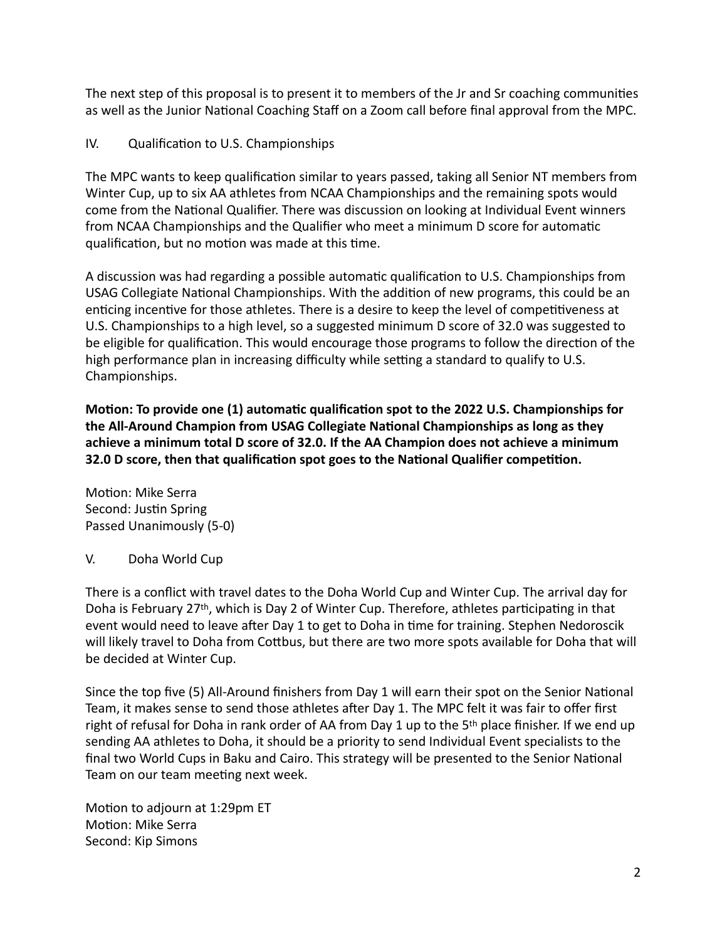The next step of this proposal is to present it to members of the Jr and Sr coaching communities as well as the Junior National Coaching Staff on a Zoom call before final approval from the MPC.

IV. Qualification to U.S. Championships

The MPC wants to keep qualification similar to years passed, taking all Senior NT members from Winter Cup, up to six AA athletes from NCAA Championships and the remaining spots would come from the National Qualifier. There was discussion on looking at Individual Event winners from NCAA Championships and the Qualifier who meet a minimum D score for automatic qualification, but no motion was made at this time.

A discussion was had regarding a possible automatic qualification to U.S. Championships from USAG Collegiate National Championships. With the addition of new programs, this could be an enticing incentive for those athletes. There is a desire to keep the level of competitiveness at U.S. Championships to a high level, so a suggested minimum D score of 32.0 was suggested to be eligible for qualification. This would encourage those programs to follow the direction of the high performance plan in increasing difficulty while setting a standard to qualify to U.S. Championships.

**Motion: To provide one (1) automatic qualification spot to the 2022 U.S. Championships for** the All-Around Champion from USAG Collegiate National Championships as long as they achieve a minimum total D score of 32.0. If the AA Champion does not achieve a minimum **32.0** D score, then that qualification spot goes to the National Qualifier competition.

Motion: Mike Serra Second: Justin Spring Passed Unanimously (5-0)

V. Doha World Cup

There is a conflict with travel dates to the Doha World Cup and Winter Cup. The arrival day for Doha is February 27<sup>th</sup>, which is Day 2 of Winter Cup. Therefore, athletes participating in that event would need to leave after Day 1 to get to Doha in time for training. Stephen Nedoroscik will likely travel to Doha from Cottbus, but there are two more spots available for Doha that will be decided at Winter Cup.

Since the top five (5) All-Around finishers from Day 1 will earn their spot on the Senior National Team, it makes sense to send those athletes after Day 1. The MPC felt it was fair to offer first right of refusal for Doha in rank order of AA from Day 1 up to the  $5<sup>th</sup>$  place finisher. If we end up sending AA athletes to Doha, it should be a priority to send Individual Event specialists to the final two World Cups in Baku and Cairo. This strategy will be presented to the Senior National Team on our team meeting next week.

Motion to adjourn at 1:29pm ET Motion: Mike Serra Second: Kip Simons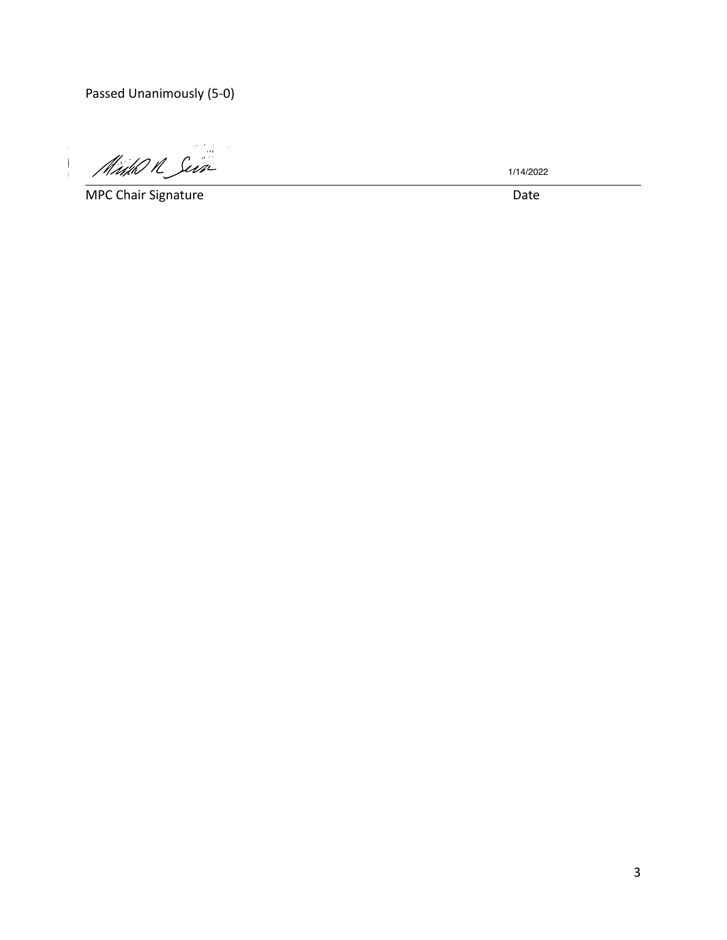Passed Unanimously (5-0)

Midd R Sein

**MPC Chair Signature Date** 

 $\bar{1}$ 

 $\bar{\bar{1}}$ 

1/14/2022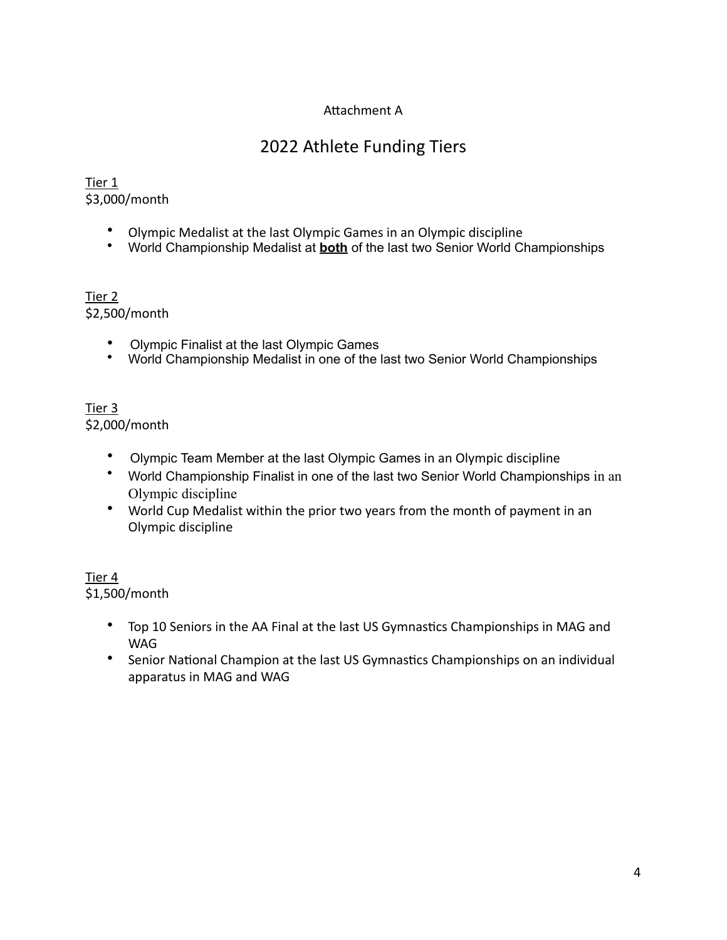# Attachment A

# 2022 Athlete Funding Tiers

### Tier 1 \$3,000/month

- Olympic Medalist at the last Olympic Games in an Olympic discipline
- World Championship Medalist at **both** of the last two Senior World Championships

#### Tier 2 \$2,500/month

- Olympic Finalist at the last Olympic Games
- World Championship Medalist in one of the last two Senior World Championships

### Tier 3 \$2,000/month

- Olympic Team Member at the last Olympic Games in an Olympic discipline
- World Championship Finalist in one of the last two Senior World Championships in an Olympic discipline
- World Cup Medalist within the prior two years from the month of payment in an Olympic discipline

#### Tier 4 \$1,500/month

- Top 10 Seniors in the AA Final at the last US Gymnastics Championships in MAG and WAG
- Senior National Champion at the last US Gymnastics Championships on an individual apparatus in MAG and WAG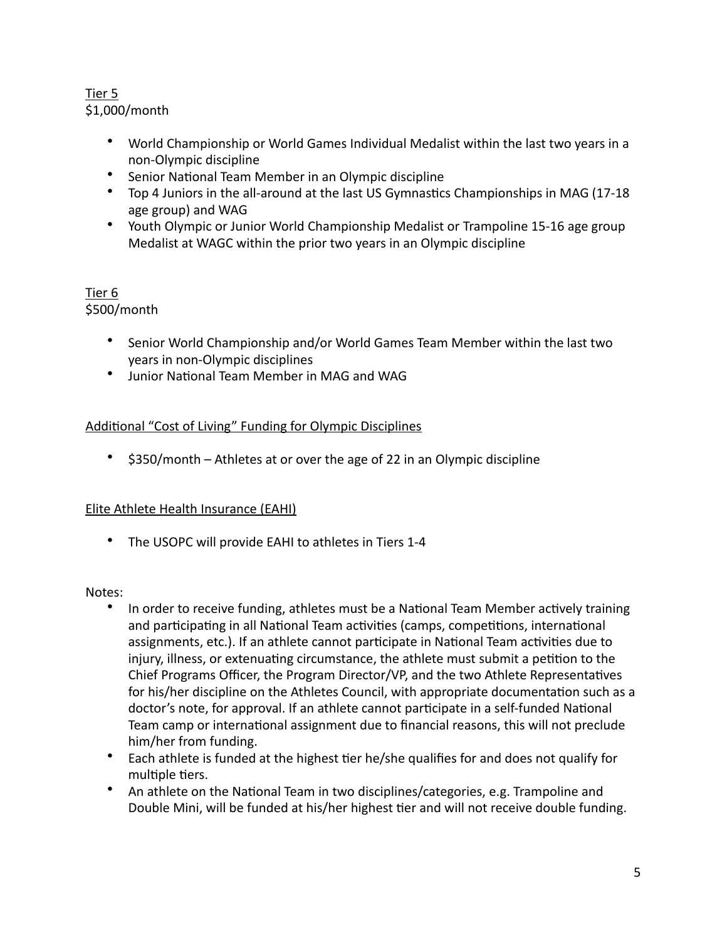# Tier 5 \$1,000/month

- World Championship or World Games Individual Medalist within the last two years in a non-Olympic discipline
- Senior National Team Member in an Olympic discipline
- Top 4 Juniors in the all-around at the last US Gymnastics Championships in MAG (17-18) age group) and WAG
- Youth Olympic or Junior World Championship Medalist or Trampoline 15-16 age group Medalist at WAGC within the prior two years in an Olympic discipline

# Tier 6 \$500/month

- Senior World Championship and/or World Games Team Member within the last two years in non-Olympic disciplines
- Junior National Team Member in MAG and WAG

# Additional "Cost of Living" Funding for Olympic Disciplines

•  $$350/m$  onth – Athletes at or over the age of 22 in an Olympic discipline

# Elite Athlete Health Insurance (EAHI)

• The USOPC will provide EAHI to athletes in Tiers 1-4

### Notes:

- In order to receive funding, athletes must be a National Team Member actively training and participating in all National Team activities (camps, competitions, international assignments, etc.). If an athlete cannot participate in National Team activities due to injury, illness, or extenuating circumstance, the athlete must submit a petition to the Chief Programs Officer, the Program Director/VP, and the two Athlete Representatives for his/her discipline on the Athletes Council, with appropriate documentation such as a doctor's note, for approval. If an athlete cannot participate in a self-funded National Team camp or international assignment due to financial reasons, this will not preclude him/her from funding.
- Each athlete is funded at the highest tier he/she qualifies for and does not qualify for multiple tiers.
- An athlete on the National Team in two disciplines/categories, e.g. Trampoline and Double Mini, will be funded at his/her highest tier and will not receive double funding.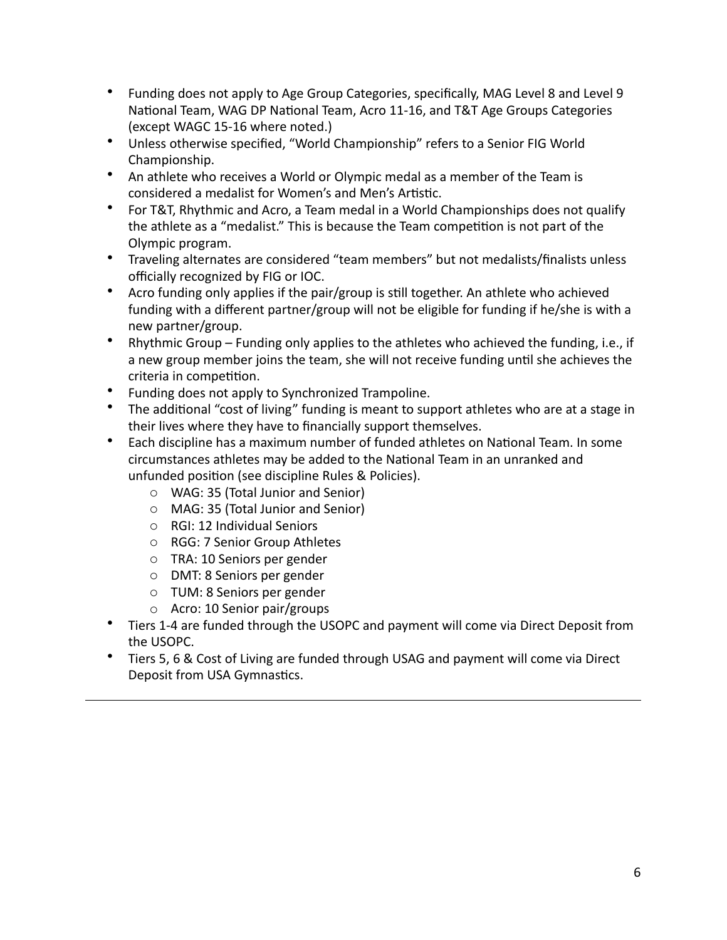- Funding does not apply to Age Group Categories, specifically, MAG Level 8 and Level 9 National Team, WAG DP National Team, Acro 11-16, and T&T Age Groups Categories (except WAGC 15-16 where noted.)
- Unless otherwise specified, "World Championship" refers to a Senior FIG World Championship.
- An athlete who receives a World or Olympic medal as a member of the Team is considered a medalist for Women's and Men's Artistic.
- For T&T, Rhythmic and Acro, a Team medal in a World Championships does not qualify the athlete as a "medalist." This is because the Team competition is not part of the Olympic program.
- Traveling alternates are considered "team members" but not medalists/finalists unless officially recognized by FIG or IOC.
- Acro funding only applies if the pair/group is still together. An athlete who achieved funding with a different partner/group will not be eligible for funding if he/she is with a new partner/group.
- Rhythmic Group Funding only applies to the athletes who achieved the funding, i.e., if a new group member joins the team, she will not receive funding until she achieves the criteria in competition.
- Funding does not apply to Synchronized Trampoline.
- The additional "cost of living" funding is meant to support athletes who are at a stage in their lives where they have to financially support themselves.
- Each discipline has a maximum number of funded athletes on National Team. In some circumstances athletes may be added to the National Team in an unranked and unfunded position (see discipline Rules & Policies).
	- o WAG: 35 (Total Junior and Senior)
	- o MAG: 35 (Total Junior and Senior)
	- o RGI: 12 Individual Seniors
	- o RGG: 7 Senior Group Athletes
	- o TRA: 10 Seniors per gender
	- o DMT: 8 Seniors per gender
	- o TUM: 8 Seniors per gender
	- $\circ$  Acro: 10 Senior pair/groups
- Tiers 1-4 are funded through the USOPC and payment will come via Direct Deposit from the USOPC.
- Tiers 5, 6 & Cost of Living are funded through USAG and payment will come via Direct Deposit from USA Gymnastics.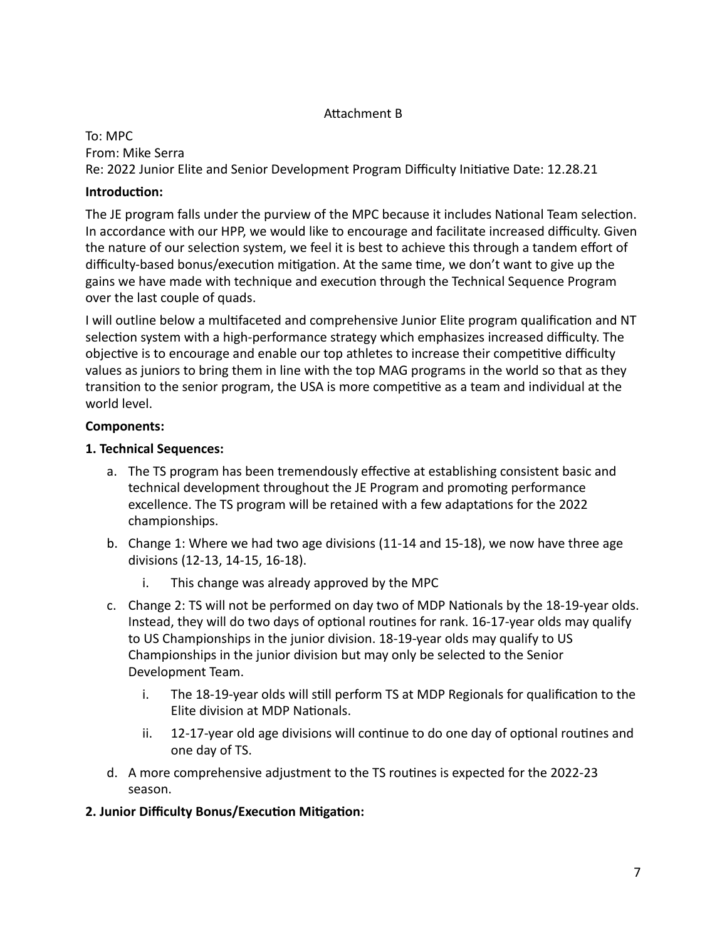# Attachment B

To: MPC From: Mike Serra Re: 2022 Junior Elite and Senior Development Program Difficulty Initiative Date: 12.28.21

# **Introduction:**

The JE program falls under the purview of the MPC because it includes National Team selection. In accordance with our HPP, we would like to encourage and facilitate increased difficulty. Given the nature of our selection system, we feel it is best to achieve this through a tandem effort of difficulty-based bonus/execution mitigation. At the same time, we don't want to give up the gains we have made with technique and execution through the Technical Sequence Program over the last couple of quads.

I will outline below a multifaceted and comprehensive Junior Elite program qualification and NT selection system with a high-performance strategy which emphasizes increased difficulty. The objective is to encourage and enable our top athletes to increase their competitive difficulty values as juniors to bring them in line with the top MAG programs in the world so that as they transition to the senior program, the USA is more competitive as a team and individual at the world level.

# **Components:**

### **1. Technical Sequences:**

- a. The TS program has been tremendously effective at establishing consistent basic and technical development throughout the JE Program and promoting performance excellence. The TS program will be retained with a few adaptations for the 2022 championships.
- b. Change 1: Where we had two age divisions  $(11-14 \text{ and } 15-18)$ , we now have three age divisions (12-13, 14-15, 16-18).
	- i. This change was already approved by the MPC
- c. Change 2: TS will not be performed on day two of MDP Nationals by the 18-19-year olds. Instead, they will do two days of optional routines for rank.  $16-17$ -year olds may qualify to US Championships in the junior division. 18-19-year olds may qualify to US Championships in the junior division but may only be selected to the Senior Development Team.
	- i. The 18-19-year olds will still perform TS at MDP Regionals for qualification to the Elite division at MDP Nationals.
	- $ii.$  12-17-year old age divisions will continue to do one day of optional routines and one day of TS.
- d. A more comprehensive adjustment to the TS routines is expected for the 2022-23 season.
- **2. Junior Difficulty Bonus/Execution Mitigation:**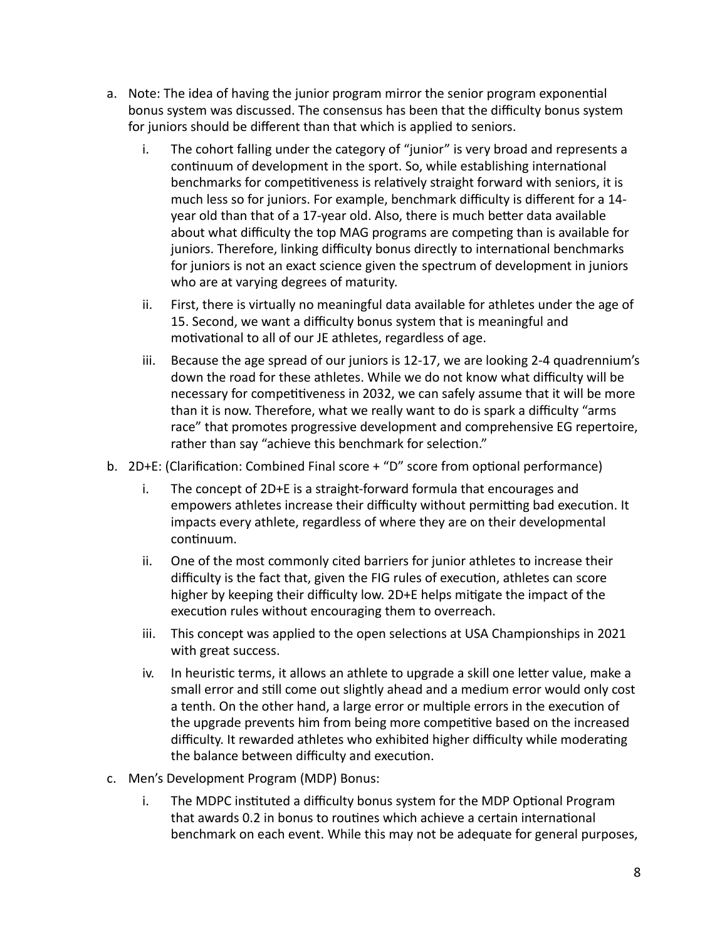- a. Note: The idea of having the junior program mirror the senior program exponential bonus system was discussed. The consensus has been that the difficulty bonus system for juniors should be different than that which is applied to seniors.
	- i. The cohort falling under the category of "junior" is very broad and represents a continuum of development in the sport. So, while establishing international benchmarks for competitiveness is relatively straight forward with seniors, it is much less so for juniors. For example, benchmark difficulty is different for a 14year old than that of a 17-year old. Also, there is much better data available about what difficulty the top MAG programs are competing than is available for juniors. Therefore, linking difficulty bonus directly to international benchmarks for juniors is not an exact science given the spectrum of development in juniors who are at varying degrees of maturity.
	- ii. First, there is virtually no meaningful data available for athletes under the age of 15. Second, we want a difficulty bonus system that is meaningful and motivational to all of our JE athletes, regardless of age.
	- iii. Because the age spread of our juniors is 12-17, we are looking 2-4 quadrennium's down the road for these athletes. While we do not know what difficulty will be necessary for competitiveness in 2032, we can safely assume that it will be more than it is now. Therefore, what we really want to do is spark a difficulty "arms race" that promotes progressive development and comprehensive EG repertoire, rather than say "achieve this benchmark for selection."
- b.  $2D+E$ : (Clarification: Combined Final score + "D" score from optional performance)
	- i. The concept of  $2D+E$  is a straight-forward formula that encourages and empowers athletes increase their difficulty without permitting bad execution. It impacts every athlete, regardless of where they are on their developmental continuum.
	- ii. One of the most commonly cited barriers for junior athletes to increase their difficulty is the fact that, given the FIG rules of execution, athletes can score higher by keeping their difficulty low. 2D+E helps mitigate the impact of the execution rules without encouraging them to overreach.
	- iii. This concept was applied to the open selections at USA Championships in 2021 with great success.
	- iv. In heuristic terms, it allows an athlete to upgrade a skill one letter value, make a small error and still come out slightly ahead and a medium error would only cost a tenth. On the other hand, a large error or multiple errors in the execution of the upgrade prevents him from being more competitive based on the increased difficulty. It rewarded athletes who exhibited higher difficulty while moderating the balance between difficulty and execution.
- c. Men's Development Program (MDP) Bonus:
	- i. The MDPC instituted a difficulty bonus system for the MDP Optional Program that awards 0.2 in bonus to routines which achieve a certain international benchmark on each event. While this may not be adequate for general purposes,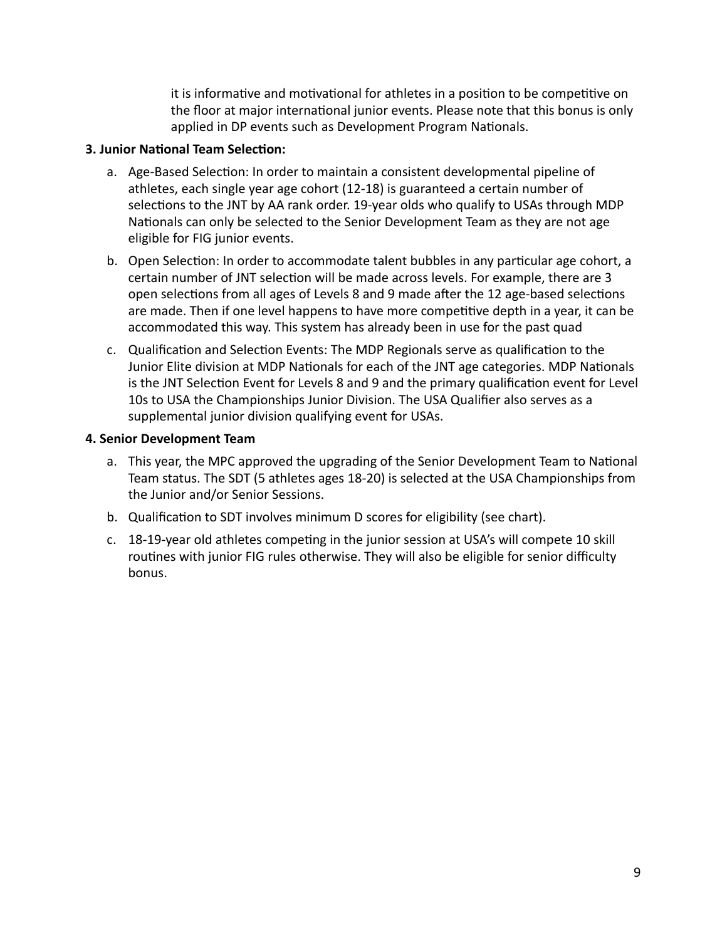it is informative and motivational for athletes in a position to be competitive on the floor at major international junior events. Please note that this bonus is only applied in DP events such as Development Program Nationals.

### **3. Junior National Team Selection:**

- a. Age-Based Selection: In order to maintain a consistent developmental pipeline of athletes, each single year age cohort (12-18) is guaranteed a certain number of selections to the JNT by AA rank order. 19-year olds who qualify to USAs through MDP Nationals can only be selected to the Senior Development Team as they are not age eligible for FIG junior events.
- b. Open Selection: In order to accommodate talent bubbles in any particular age cohort, a certain number of JNT selection will be made across levels. For example, there are 3 open selections from all ages of Levels 8 and 9 made after the 12 age-based selections are made. Then if one level happens to have more competitive depth in a year, it can be accommodated this way. This system has already been in use for the past quad
- c. Qualification and Selection Events: The MDP Regionals serve as qualification to the Junior Elite division at MDP Nationals for each of the JNT age categories. MDP Nationals is the JNT Selection Event for Levels 8 and 9 and the primary qualification event for Level 10s to USA the Championships Junior Division. The USA Qualifier also serves as a supplemental junior division qualifying event for USAs.

#### **4. Senior Development Team**

- a. This year, the MPC approved the upgrading of the Senior Development Team to National Team status. The SDT (5 athletes ages 18-20) is selected at the USA Championships from the Junior and/or Senior Sessions.
- b. Qualification to SDT involves minimum D scores for eligibility (see chart).
- c. 18-19-year old athletes competing in the junior session at USA's will compete 10 skill routines with junior FIG rules otherwise. They will also be eligible for senior difficulty bonus.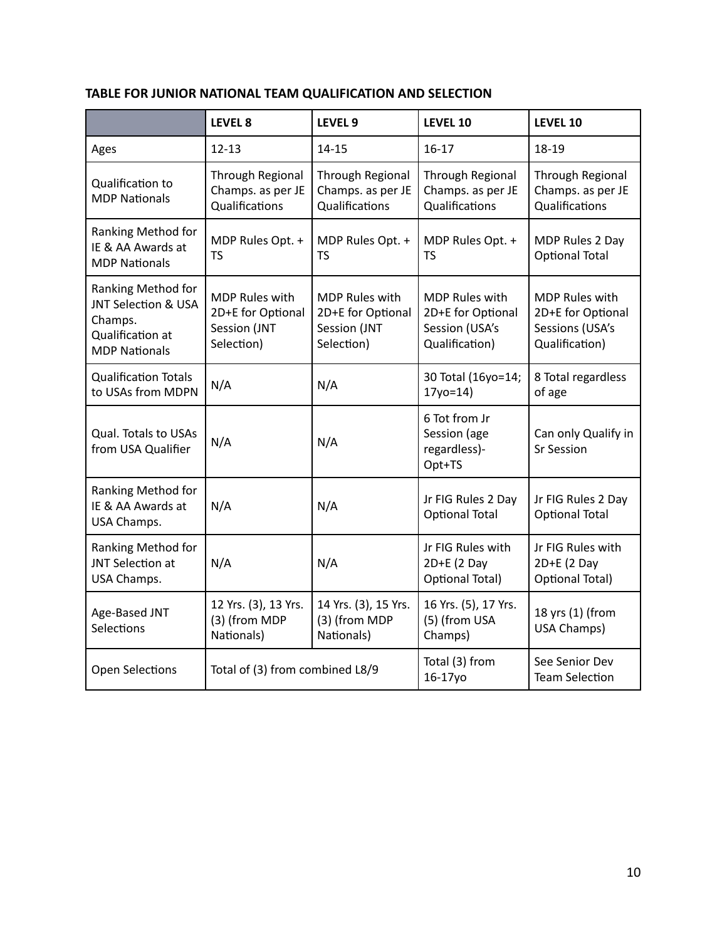# **TABLE FOR JUNIOR NATIONAL TEAM QUALIFICATION AND SELECTION**

|                                                                                                  | LEVEL 8                                                                  | LEVEL 9                                                                  | LEVEL 10                                                                       | LEVEL 10                                                                        |
|--------------------------------------------------------------------------------------------------|--------------------------------------------------------------------------|--------------------------------------------------------------------------|--------------------------------------------------------------------------------|---------------------------------------------------------------------------------|
| Ages                                                                                             | $12 - 13$                                                                | $14 - 15$                                                                | $16 - 17$                                                                      | 18-19                                                                           |
| Qualification to<br><b>MDP Nationals</b>                                                         | Through Regional<br>Champs. as per JE<br>Qualifications                  | Through Regional<br>Champs. as per JE<br>Qualifications                  | Through Regional<br>Champs. as per JE<br>Qualifications                        | Through Regional<br>Champs. as per JE<br>Qualifications                         |
| Ranking Method for<br>IE & AA Awards at<br><b>MDP Nationals</b>                                  | MDP Rules Opt. +<br><b>TS</b>                                            | MDP Rules Opt. +<br>TS                                                   | MDP Rules Opt. +<br><b>TS</b>                                                  | MDP Rules 2 Day<br><b>Optional Total</b>                                        |
| Ranking Method for<br>JNT Selection & USA<br>Champs.<br>Qualification at<br><b>MDP Nationals</b> | <b>MDP Rules with</b><br>2D+E for Optional<br>Session (JNT<br>Selection) | <b>MDP Rules with</b><br>2D+E for Optional<br>Session (JNT<br>Selection) | <b>MDP Rules with</b><br>2D+E for Optional<br>Session (USA's<br>Qualification) | <b>MDP Rules with</b><br>2D+E for Optional<br>Sessions (USA's<br>Qualification) |
| <b>Qualification Totals</b><br>to USAs from MDPN                                                 | N/A                                                                      | N/A                                                                      | 30 Total (16yo=14;<br>$17y0=14$                                                | 8 Total regardless<br>of age                                                    |
| <b>Qual. Totals to USAs</b><br>from USA Qualifier                                                | N/A                                                                      | N/A                                                                      | 6 Tot from Jr<br>Session (age<br>regardless)-<br>Opt+TS                        | Can only Qualify in<br><b>Sr Session</b>                                        |
| Ranking Method for<br>IE & AA Awards at<br>USA Champs.                                           | N/A                                                                      | N/A                                                                      | Jr FIG Rules 2 Day<br><b>Optional Total</b>                                    | Jr FIG Rules 2 Day<br><b>Optional Total</b>                                     |
| Ranking Method for<br>JNT Selection at<br>USA Champs.                                            | N/A                                                                      | N/A                                                                      | Jr FIG Rules with<br>$2D+E$ (2 Day<br><b>Optional Total)</b>                   | Jr FIG Rules with<br>$2D+E$ (2 Day<br>Optional Total)                           |
| Age-Based JNT<br>Selections                                                                      | 12 Yrs. (3), 13 Yrs.<br>(3) (from MDP<br>Nationals)                      | 14 Yrs. (3), 15 Yrs.<br>(3) (from MDP<br>Nationals)                      | 16 Yrs. (5), 17 Yrs.<br>(5) (from USA<br>Champs)                               | 18 yrs (1) (from<br>USA Champs)                                                 |
| <b>Open Selections</b>                                                                           | Total of (3) from combined L8/9                                          |                                                                          | Total (3) from<br>16-17yo                                                      | See Senior Dev<br><b>Team Selection</b>                                         |